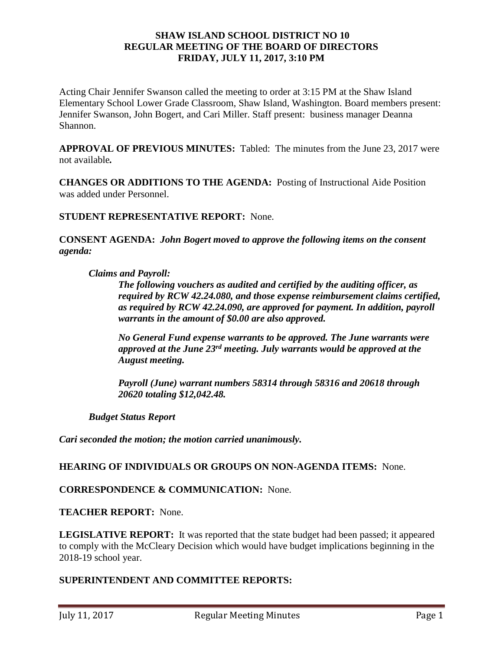## **SHAW ISLAND SCHOOL DISTRICT NO 10 REGULAR MEETING OF THE BOARD OF DIRECTORS FRIDAY, JULY 11, 2017, 3:10 PM**

Acting Chair Jennifer Swanson called the meeting to order at 3:15 PM at the Shaw Island Elementary School Lower Grade Classroom, Shaw Island, Washington. Board members present: Jennifer Swanson, John Bogert, and Cari Miller. Staff present: business manager Deanna Shannon.

**APPROVAL OF PREVIOUS MINUTES:** Tabled: The minutes from the June 23, 2017 were not available*.* 

**CHANGES OR ADDITIONS TO THE AGENDA:** Posting of Instructional Aide Position was added under Personnel.

**STUDENT REPRESENTATIVE REPORT:** None.

**CONSENT AGENDA:** *John Bogert moved to approve the following items on the consent agenda:*

*Claims and Payroll:*

*The following vouchers as audited and certified by the auditing officer, as required by RCW 42.24.080, and those expense reimbursement claims certified, as required by RCW 42.24.090, are approved for payment. In addition, payroll warrants in the amount of \$0.00 are also approved.*

*No General Fund expense warrants to be approved. The June warrants were approved at the June 23rd meeting. July warrants would be approved at the August meeting.*

*Payroll (June) warrant numbers 58314 through 58316 and 20618 through 20620 totaling \$12,042.48.*

*Budget Status Report*

*Cari seconded the motion; the motion carried unanimously.*

#### **HEARING OF INDIVIDUALS OR GROUPS ON NON-AGENDA ITEMS:** None.

**CORRESPONDENCE & COMMUNICATION:** None.

**TEACHER REPORT:** None.

**LEGISLATIVE REPORT:** It was reported that the state budget had been passed; it appeared to comply with the McCleary Decision which would have budget implications beginning in the 2018-19 school year.

# **SUPERINTENDENT AND COMMITTEE REPORTS:**